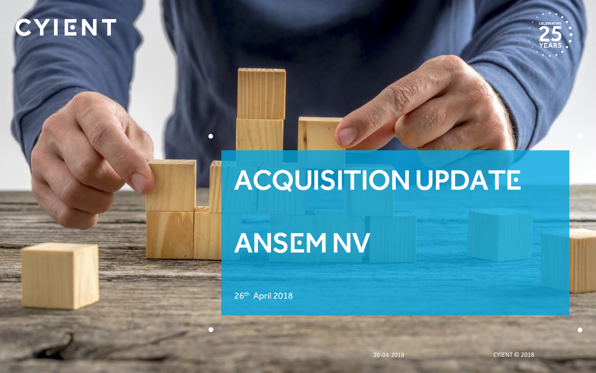## CYIENT



# Acquisition UPDATE

## ANSEM NV

26th April 2018

 $\bullet$ 

 $\cap$ 

26-04-2018 CYIENT © 2018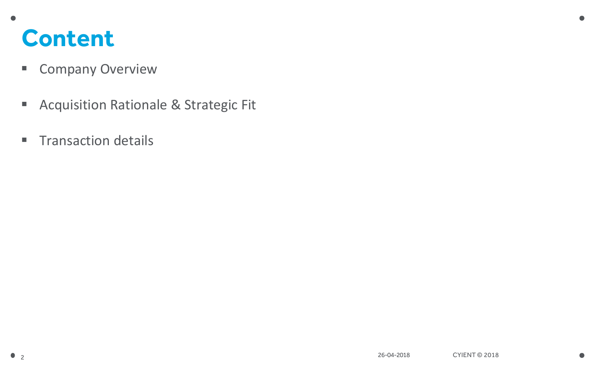#### **Content**

- **Company Overview**
- **Acquisition Rationale & Strategic Fit**
- **Transaction details**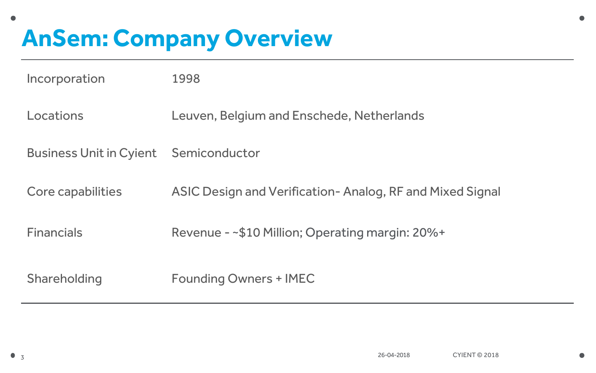## **AnSem: Company Overview**

| Incorporation                  | 1998                                                     |
|--------------------------------|----------------------------------------------------------|
| Locations                      | Leuven, Belgium and Enschede, Netherlands                |
| <b>Business Unit in Cyient</b> | Semiconductor                                            |
| Core capabilities              | ASIC Design and Verification-Analog, RF and Mixed Signal |
| <b>Financials</b>              | Revenue - ~\$10 Million; Operating margin: 20%+          |
| Shareholding                   | <b>Founding Owners + IMEC</b>                            |

 $\bullet$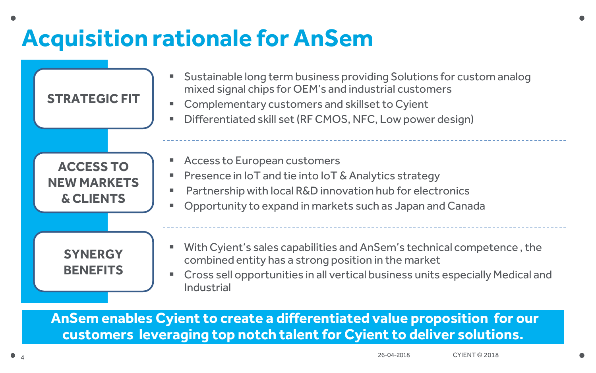### **Acquisition rationale for AnSem**



**AnSem enables Cyient to create a differentiated value proposition for our customers leveraging top notch talent for Cyient to deliver solutions.**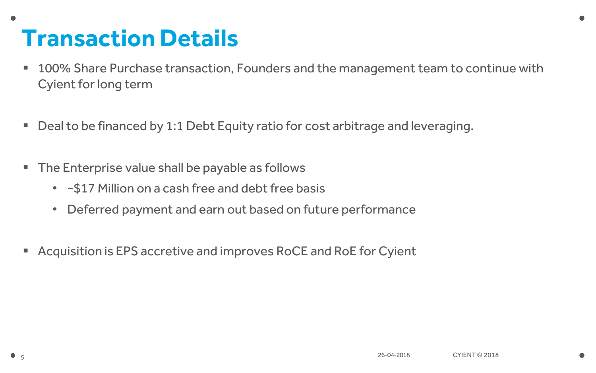#### **Transaction Details**

- 100% Share Purchase transaction, Founders and the management team to continue with Cyient for long term
- Deal to be financed by 1:1 Debt Equity ratio for cost arbitrage and leveraging.
- The Enterprise value shall be payable as follows
	- ~\$17 Million on a cash free and debt free basis
	- Deferred payment and earn out based on future performance
- Acquisition is EPS accretive and improves RoCE and RoE for Cyient